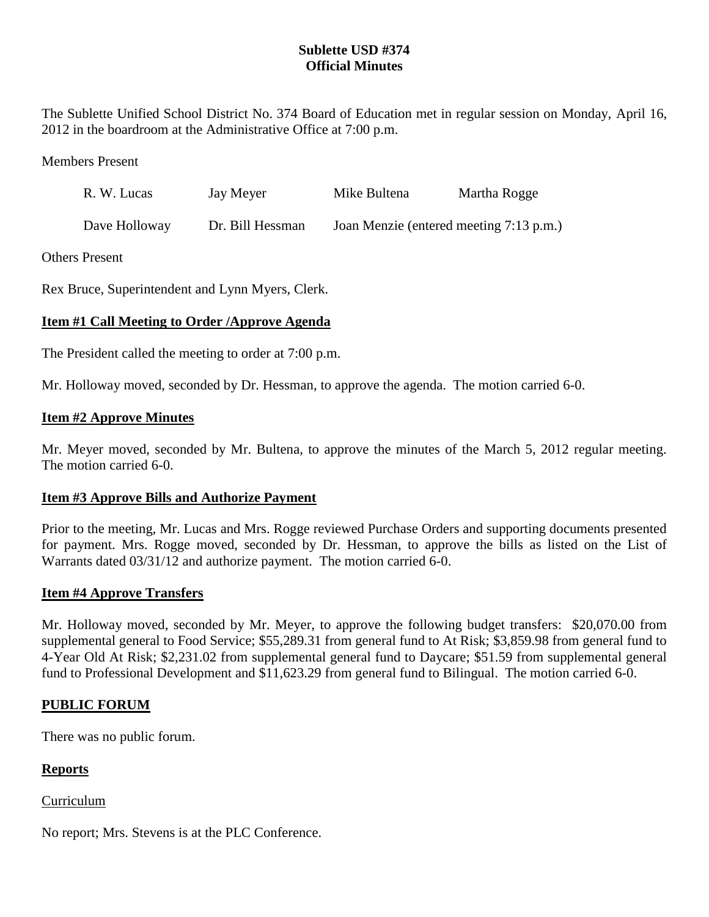# **Sublette USD #374 Official Minutes**

The Sublette Unified School District No. 374 Board of Education met in regular session on Monday, April 16, 2012 in the boardroom at the Administrative Office at 7:00 p.m.

Members Present

| R. W. Lucas   | Jay Meyer        | Mike Bultena                            | Martha Rogge |
|---------------|------------------|-----------------------------------------|--------------|
| Dave Holloway | Dr. Bill Hessman | Joan Menzie (entered meeting 7:13 p.m.) |              |

Others Present

Rex Bruce, Superintendent and Lynn Myers, Clerk.

# **Item #1 Call Meeting to Order /Approve Agenda**

The President called the meeting to order at 7:00 p.m.

Mr. Holloway moved, seconded by Dr. Hessman, to approve the agenda. The motion carried 6-0.

## **Item #2 Approve Minutes**

Mr. Meyer moved, seconded by Mr. Bultena, to approve the minutes of the March 5, 2012 regular meeting. The motion carried 6-0.

## **Item #3 Approve Bills and Authorize Payment**

Prior to the meeting, Mr. Lucas and Mrs. Rogge reviewed Purchase Orders and supporting documents presented for payment. Mrs. Rogge moved, seconded by Dr. Hessman, to approve the bills as listed on the List of Warrants dated 03/31/12 and authorize payment. The motion carried 6-0.

## **Item #4 Approve Transfers**

Mr. Holloway moved, seconded by Mr. Meyer, to approve the following budget transfers: \$20,070.00 from supplemental general to Food Service; \$55,289.31 from general fund to At Risk; \$3,859.98 from general fund to 4-Year Old At Risk; \$2,231.02 from supplemental general fund to Daycare; \$51.59 from supplemental general fund to Professional Development and \$11,623.29 from general fund to Bilingual. The motion carried 6-0.

## **PUBLIC FORUM**

There was no public forum.

## **Reports**

Curriculum

No report; Mrs. Stevens is at the PLC Conference.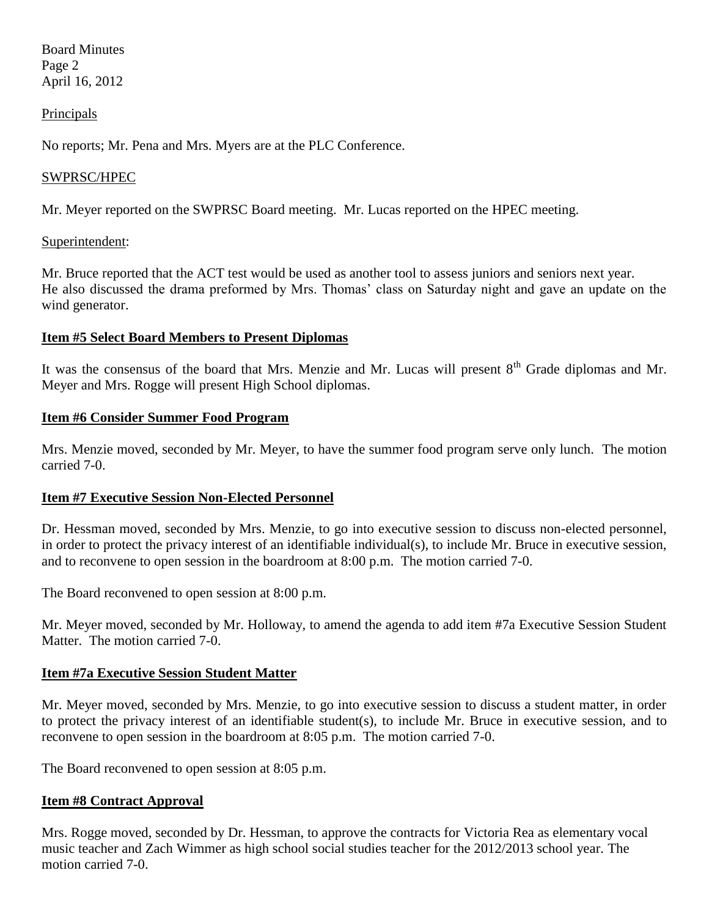Board Minutes Page 2 April 16, 2012

### **Principals**

No reports; Mr. Pena and Mrs. Myers are at the PLC Conference.

#### SWPRSC/HPEC

Mr. Meyer reported on the SWPRSC Board meeting. Mr. Lucas reported on the HPEC meeting.

#### Superintendent:

Mr. Bruce reported that the ACT test would be used as another tool to assess juniors and seniors next year. He also discussed the drama preformed by Mrs. Thomas' class on Saturday night and gave an update on the wind generator.

### **Item #5 Select Board Members to Present Diplomas**

It was the consensus of the board that Mrs. Menzie and Mr. Lucas will present 8<sup>th</sup> Grade diplomas and Mr. Meyer and Mrs. Rogge will present High School diplomas.

#### **Item #6 Consider Summer Food Program**

Mrs. Menzie moved, seconded by Mr. Meyer, to have the summer food program serve only lunch. The motion carried 7-0.

#### **Item #7 Executive Session Non-Elected Personnel**

Dr. Hessman moved, seconded by Mrs. Menzie, to go into executive session to discuss non-elected personnel, in order to protect the privacy interest of an identifiable individual(s), to include Mr. Bruce in executive session, and to reconvene to open session in the boardroom at 8:00 p.m. The motion carried 7-0.

The Board reconvened to open session at 8:00 p.m.

Mr. Meyer moved, seconded by Mr. Holloway, to amend the agenda to add item #7a Executive Session Student Matter. The motion carried 7-0.

#### **Item #7a Executive Session Student Matter**

Mr. Meyer moved, seconded by Mrs. Menzie, to go into executive session to discuss a student matter, in order to protect the privacy interest of an identifiable student(s), to include Mr. Bruce in executive session, and to reconvene to open session in the boardroom at 8:05 p.m. The motion carried 7-0.

The Board reconvened to open session at 8:05 p.m.

## **Item #8 Contract Approval**

Mrs. Rogge moved, seconded by Dr. Hessman, to approve the contracts for Victoria Rea as elementary vocal music teacher and Zach Wimmer as high school social studies teacher for the 2012/2013 school year. The motion carried 7-0.